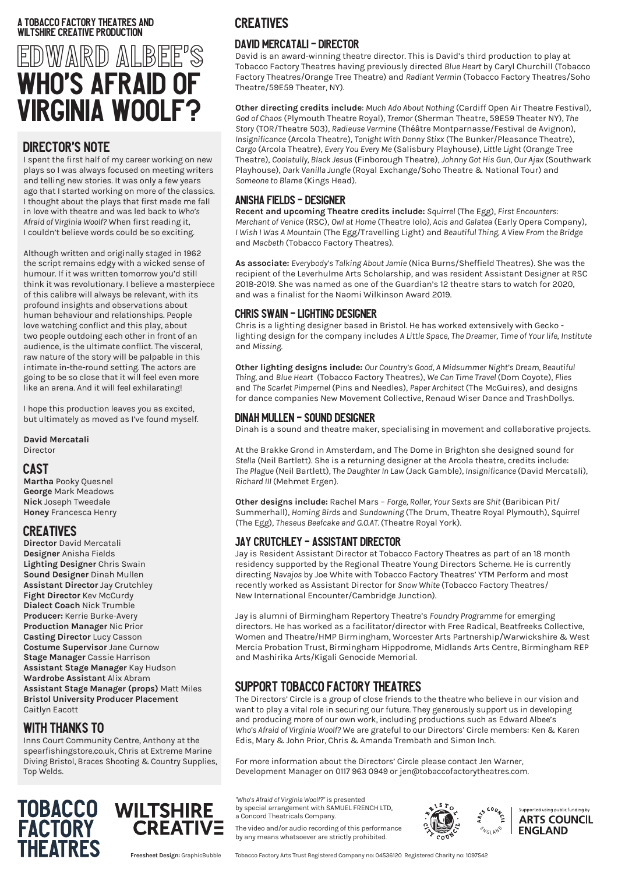#### A Tobacco Factory Theatres AND WILTSHIRE CREATIVE PRODUCTION

# EDWARD ALBEE'S WHO'S AFRAID OF VIRGINIA WOOLF?

#### DIRECTOR'S NOTE

I spent the first half of my career working on new plays so I was always focused on meeting writers and telling new stories. It was only a few years ago that I started working on more of the classics. I thought about the plays that first made me fall in love with theatre and was led back to *Who's Afraid of Virginia Woolf?* When first reading it, I couldn't believe words could be so exciting.

Although written and originally staged in 1962 the script remains edgy with a wicked sense of humour. If it was written tomorrow you'd still think it was revolutionary. I believe a masterpiece of this calibre will always be relevant, with its profound insights and observations about human behaviour and relationships. People love watching conflict and this play, about two people outdoing each other in front of an audience, is the ultimate conflict. The visceral, raw nature of the story will be palpable in this intimate in-the-round setting. The actors are going to be so close that it will feel even more like an arena. And it will feel exhilarating!

I hope this production leaves you as excited, but ultimately as moved as I've found myself.

**David Mercatali** Director

#### CAST

**Martha** Pooky Quesnel **George** Mark Meadows **Nick** Joseph Tweedale **Honey** Francesca Henry

#### CREATIVES

**Director** David Mercatali **Designer** Anisha Fields **Lighting Designer** Chris Swain **Sound Designer** Dinah Mullen **Assistant Director** Jay Crutchley **Fight Director** Kev McCurdy **Dialect Coach** Nick Trumble **Producer:** Kerrie Burke-Avery **Production Manager** Nic Prior **Casting Director** Lucy Casson **Costume Supervisor** Jane Curnow **Stage Manager** Cassie Harrison **Assistant Stage Manager** Kay Hudson **Wardrobe Assistant** Alix Abram **Assistant Stage Manager (props)** Matt Miles **Bristol University Producer Placement** Caitlyn Eacott

#### WITH THANKS TO

Inns Court Community Centre, Anthony at the spearfishingstore.co.uk, Chris at Extreme Marine Diving Bristol, Braces Shooting & Country Supplies, Top Welds.

**CREATIVE** 

# **TOBACCO WILTSHIRE FACTORY THEATRES**

**CREATIVES** 

#### DAVID MERCATALI - DIRECTOR

David is an award-winning theatre director. This is David's third production to play at Tobacco Factory Theatres having previously directed *Blue Heart* by Caryl Churchill (Tobacco Factory Theatres/Orange Tree Theatre) and *Radiant Vermin* (Tobacco Factory Theatres/Soho Theatre/59E59 Theater, NY).

**Other directing credits include**: *Much Ado About Nothing* (Cardiff Open Air Theatre Festival), *God of Chaos* (Plymouth Theatre Royal), *Tremor* (Sherman Theatre, 59E59 Theater NY), *The Story* (TOR/Theatre 503), *Radieuse Vermine* (Théâtre Montparnasse/Festival de Avignon), *Insignificance* (Arcola Theatre), *Tonight With Donny Stixx* (The Bunker/Pleasance Theatre), *Cargo* (Arcola Theatre), *Every You Every Me* (Salisbury Playhouse), *Little Light* (Orange Tree Theatre), *Coolatully, Black Jesus* (Finborough Theatre), *Johnny Got His Gun, Our Ajax* (Southwark Playhouse), *Dark Vanilla Jungle* (Royal Exchange/Soho Theatre & National Tour) and *Someone to Blame* (Kings Head).

## ANISHA FIELDS - DESIGNER

**Recent and upcoming Theatre credits include:** *Squirrel* (The Egg), *First Encounters: Merchant of Venice* (RSC), *Owl at Home* (Theatre Iolo*), Acis and Galatea* (Early Opera Company), *I Wish I Was A Mountain* (The Egg/Travelling Light) and *Beautiful Thing, A View From the Bridge*  and *Macbeth* (Tobacco Factory Theatres).

**As associate:** *Everybody's Talking About Jamie* (Nica Burns/Sheffield Theatres). She was the recipient of the Leverhulme Arts Scholarship, and was resident Assistant Designer at RSC 2018-2019. She was named as one of the Guardian's 12 theatre stars to watch for 2020, and was a finalist for the Naomi Wilkinson Award 2019.

#### CHRIS SWAIN - LIGHTING DESIGNER

Chris is a lighting designer based in Bristol. He has worked extensively with Gecko lighting design for the company includes *A Little Space*, *The Dreamer*, *Time of Your life*, *Institute* and *Missing*.

**Other lighting designs include:** *Our Country's Good, A Midsummer Night's Dream, Beautiful Thing,* and *Blue Heart* (Tobacco Factory Theatres), *We Can Time Travel* (Dom Coyote), *Flies* and *The Scarlet Pimpernel* (Pins and Needles), *Paper Architect* (The McGuires), and designs for dance companies New Movement Collective, Renaud Wiser Dance and TrashDollys.

#### DINAH MULLEN - SOUND DESIGNER

Dinah is a sound and theatre maker, specialising in movement and collaborative projects.

At the Brakke Grond in Amsterdam, and The Dome in Brighton she designed sound for *Stella* (Neil Bartlett). She is a returning designer at the Arcola theatre, credits include: *The Plague* (Neil Bartlett)*, The Daughter In Law* (Jack Gamble)*, Insignificance* (David Mercatali)*, Richard III* (Mehmet Ergen)*.*

**Other designs include:** Rachel Mars – *Forge, Roller, Your Sexts are Shit* (Baribican Pit/ Summerhall), *Homing Birds* and *Sundowning* (The Drum, Theatre Royal Plymouth), *Squirrel*  (The Egg), *Theseus Beefcake and G.O.AT.* (Theatre Royal York).

#### JAY CRUTCHLEY - ASSISTANT DIRECTOR

Jay is Resident Assistant Director at Tobacco Factory Theatres as part of an 18 month residency supported by the Regional Theatre Young Directors Scheme. He is currently directing *Navajos* by Joe White with Tobacco Factory Theatres' YTM Perform and most recently worked as Assistant Director for *Snow White* (Tobacco Factory Theatres/ New International Encounter/Cambridge Junction).

Jay is alumni of Birmingham Repertory Theatre's *Foundry Programme* for emerging directors. He has worked as a facilitator/director with Free Radical, Beatfreeks Collective, Women and Theatre/HMP Birmingham, Worcester Arts Partnership/Warwickshire & West Mercia Probation Trust, Birmingham Hippodrome, Midlands Arts Centre, Birmingham REP and Mashirika Arts/Kigali Genocide Memorial.

# SUPPORT TOBACCO FACTORY THEATRES

The Directors' Circle is a group of close friends to the theatre who believe in our vision and want to play a vital role in securing our future. They generously support us in developing and producing more of our own work, including productions such as Edward Albee's *Who's Afraid of Virginia Woolf?* We are grateful to our Directors' Circle members: Ken & Karen Edis, Mary & John Prior, Chris & Amanda Trembath and Simon Inch.

For more information about the Directors' Circle please contact Jen Warner, Development Manager on 0117 963 0949 or jen@tobaccofactorytheatres.com.

*"Who's Afraid of Virginia Woolf?"* is presented by special arrangement with SAMUEL FRENCH LTD, a Concord Theatricals Company.

The video and/or audio recording of this performance by any means whatsoever are strictly prohibited.



**EVGLAND** 

 $\int_{\frac{1}{6}}^{x^{5}}$ <sup>coun</sup>c Supported using public funding by **ARTS COUNCIL ENGLAND** 

Tobacco Factory Arts Trust Registered Company no: 04536120 Registered Charity no: 1097542 **Freesheet Design:** GraphicBubble